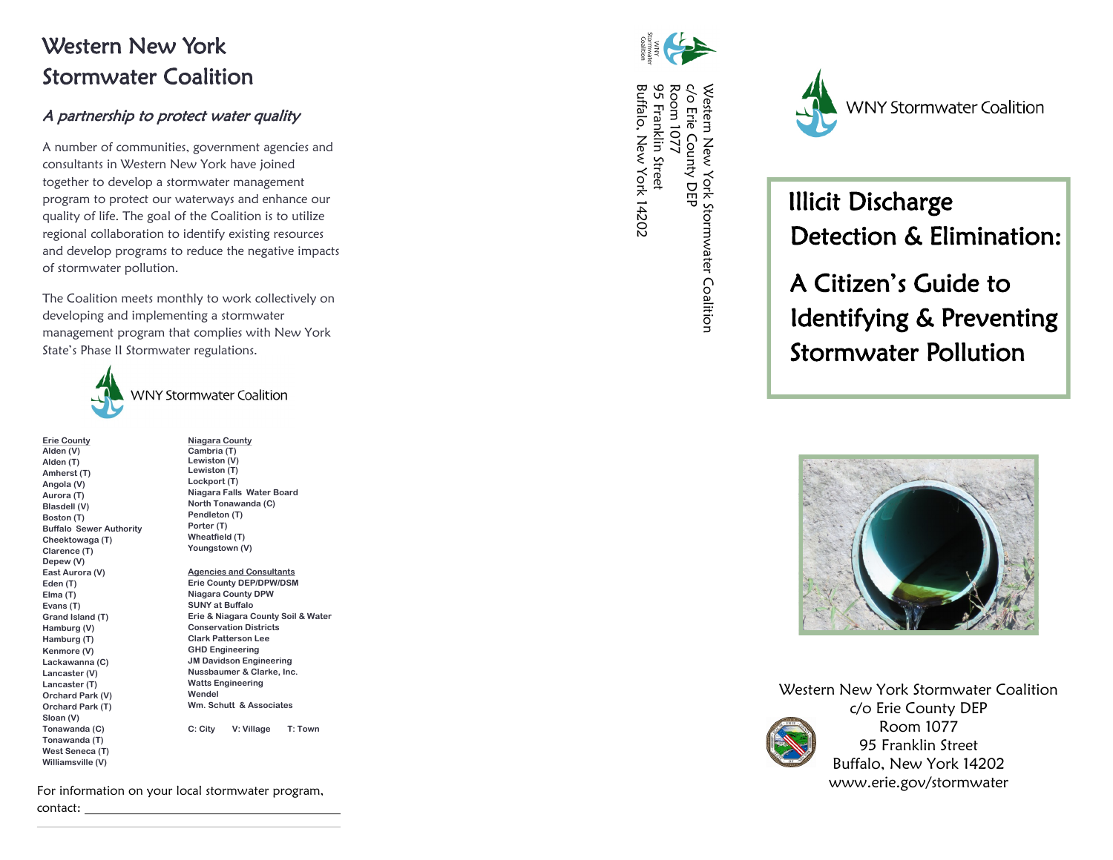## Western New York Stormwater Coalition

### A partnership to protect water quality

A number of communities, government agencies and consultants in Western New York have joined together to develop a stormwater management program to protect our waterways and enhance our quality of life. The goal of the Coalition is to utilize regional collaboration to identify existing resources and develop programs to reduce the negative impacts of stormwater pollution.

The Coalition meets monthly to work collectively on developing and implementing a stormwater management program that complies with New York State's Phase II Stormwater regulations.



**Erie County Alden (V) Alden (T) Amherst (T) Angola (V) Aurora (T) Blasdell (V) Boston (T) Buffalo Sewer Authority Cheektowaga (T) Clarence (T) Depew (V) East Aurora (V) Eden (T) Elma (T) Evans (T) Grand Island (T) Hamburg (V) Hamburg (T) Kenmore (V) Lackawanna (C) Lancaster (V) Lancaster (T) Orchard Park (V) Orchard Park (T) Sloan (V) Tonawanda (C) Tonawanda (T) West Seneca (T) Williamsville (V)**

**Niagara County Cambria (T) Lewiston (V) Lewiston (T) Lockport (T) Niagara Falls Water Board North Tonawanda (C) Pendleton (T) Porter (T) Wheatfield (T) Youngstown (V)** 

**Agencies and Consultants Erie County DEP/DPW/DSM Niagara County DPW SUNY at Buffalo Erie & Niagara County Soil & Water Conservation Districts Clark Patterson Lee GHD Engineering JM Davidson Engineering Nussbaumer & Clarke, Inc. Watts Engineering Wendel Wm. Schutt & Associates**

**C: City V: Village T: Town**

For information on your local stormwater program, contact:



Western New York Stormwater Coalition<br>c/o Erie County DEP<br>Room 1077<br>95 Franklin Street<br>95 Franklin Street Buffalo, New York 14202 Buffalo, New York 14202 95 Franklin Street Room 1077 c/o Erie County DEP Western New York Stormwater Coalition



 Illicit Discharge Detection & Elimination:

 A Citizen's Guide to Identifying & Preventing Stormwater Pollution



Western New York Stormwater Coalition c/o Erie County DEP Room 1077 95 Franklin Street Buffalo, New York 14202 www.erie.gov/stormwater